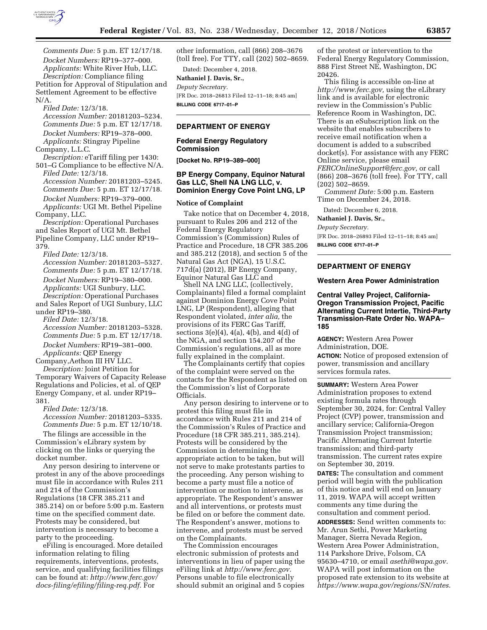

*Comments Due:* 5 p.m. ET 12/17/18. *Docket Numbers:* RP19–377–000. *Applicants:* White River Hub, LLC. *Description:* Compliance filing Petition for Approval of Stipulation and Settlement Agreement to be effective N/A.

*Filed Date:* 12/3/18. *Accession Number:* 20181203–5234. *Comments Due:* 5 p.m. ET 12/17/18. *Docket Numbers:* RP19–378–000. *Applicants:* Stingray Pipeline Company, L.L.C.

*Description:* eTariff filing per 1430:

501–G Compliance to be effective N/A. *Filed Date:* 12/3/18. *Accession Number:* 20181203–5245. *Comments Due:* 5 p.m. ET 12/17/18.

*Docket Numbers:* RP19–379–000. *Applicants:* UGI Mt. Bethel Pipeline Company, LLC.

*Description:* Operational Purchases and Sales Report of UGI Mt. Bethel Pipeline Company, LLC under RP19– 379.

*Filed Date:* 12/3/18. *Accession Number:* 20181203–5327. *Comments Due:* 5 p.m. ET 12/17/18. *Docket Numbers:* RP19–380–000. *Applicants:* UGI Sunbury, LLC. *Description:* Operational Purchases and Sales Report of UGI Sunbury, LLC under RP19–380.

*Filed Date:* 12/3/18. *Accession Number:* 20181203–5328. *Comments Due:* 5 p.m. ET 12/17/18. *Docket Numbers:* RP19–381–000. *Applicants:* QEP Energy

Company,Aethon III HV LLC.

*Description:* Joint Petition for Temporary Waivers of Capacity Release Regulations and Policies, et al. of QEP Energy Company, et al. under RP19– 381.

*Filed Date:* 12/3/18.

*Accession Number:* 20181203–5335. *Comments Due:* 5 p.m. ET 12/10/18.

The filings are accessible in the Commission's eLibrary system by clicking on the links or querying the docket number.

Any person desiring to intervene or protest in any of the above proceedings must file in accordance with Rules 211 and 214 of the Commission's Regulations (18 CFR 385.211 and 385.214) on or before 5:00 p.m. Eastern time on the specified comment date. Protests may be considered, but intervention is necessary to become a party to the proceeding.

eFiling is encouraged. More detailed information relating to filing requirements, interventions, protests, service, and qualifying facilities filings can be found at: *[http://www.ferc.gov/](http://www.ferc.gov/docs-filing/efiling/filing-req.pdf)  [docs-filing/efiling/filing-req.pdf.](http://www.ferc.gov/docs-filing/efiling/filing-req.pdf)* For

other information, call (866) 208–3676 (toll free). For TTY, call (202) 502–8659.

Dated: December 4, 2018.

**Nathaniel J. Davis, Sr.,**  *Deputy Secretary.*  [FR Doc. 2018–26813 Filed 12–11–18; 8:45 am] **BILLING CODE 6717–01–P** 

# **DEPARTMENT OF ENERGY**

## **Federal Energy Regulatory Commission**

**[Docket No. RP19–389–000]** 

# **BP Energy Company, Equinor Natural Gas LLC, Shell NA LNG LLC, v. Dominion Energy Cove Point LNG, LP**

#### **Notice of Complaint**

Take notice that on December 4, 2018, pursuant to Rules 206 and 212 of the Federal Energy Regulatory Commission's (Commission) Rules of Practice and Procedure, 18 CFR 385.206 and 385.212 (2018), and section 5 of the Natural Gas Act (NGA), 15 U.S.C. 717d(a) (2012), BP Energy Company, Equinor Natural Gas LLC and

Shell NA LNG LLC, (collectively, Complainants) filed a formal complaint against Dominion Energy Cove Point LNG, LP (Respondent), alleging that Respondent violated, *inter alia,* the provisions of its FERC Gas Tariff, sections 3(e)(4), 4(a), 4(b), and 4(d) of the NGA, and section 154.207 of the Commission's regulations, all as more fully explained in the complaint.

The Complainants certify that copies of the complaint were served on the contacts for the Respondent as listed on the Commission's list of Corporate Officials.

Any person desiring to intervene or to protest this filing must file in accordance with Rules 211 and 214 of the Commission's Rules of Practice and Procedure (18 CFR 385.211, 385.214). Protests will be considered by the Commission in determining the appropriate action to be taken, but will not serve to make protestants parties to the proceeding. Any person wishing to become a party must file a notice of intervention or motion to intervene, as appropriate. The Respondent's answer and all interventions, or protests must be filed on or before the comment date. The Respondent's answer, motions to intervene, and protests must be served on the Complainants.

The Commission encourages electronic submission of protests and interventions in lieu of paper using the eFiling link at *[http://www.ferc.gov.](http://www.ferc.gov)*  Persons unable to file electronically should submit an original and 5 copies

of the protest or intervention to the Federal Energy Regulatory Commission, 888 First Street NE, Washington, DC 20426.

This filing is accessible on-line at *[http://www.ferc.gov,](http://www.ferc.gov)* using the eLibrary link and is available for electronic review in the Commission's Public Reference Room in Washington, DC. There is an eSubscription link on the website that enables subscribers to receive email notification when a document is added to a subscribed docket(s). For assistance with any FERC Online service, please email *[FERCOnlineSupport@ferc.gov,](mailto:FERCOnlineSupport@ferc.gov)* or call (866) 208–3676 (toll free). For TTY, call (202) 502–8659.

*Comment Date:* 5:00 p.m. Eastern Time on December 24, 2018.

Dated: December 6, 2018.

**Nathaniel J. Davis, Sr.,** 

*Deputy Secretary.* 

[FR Doc. 2018–26893 Filed 12–11–18; 8:45 am] **BILLING CODE 6717–01–P** 

# **DEPARTMENT OF ENERGY**

#### **Western Area Power Administration**

### **Central Valley Project, California-Oregon Transmission Project, Pacific Alternating Current Intertie, Third-Party Transmission-Rate Order No. WAPA– 185**

**AGENCY:** Western Area Power Administration, DOE.

**ACTION:** Notice of proposed extension of power, transmission and ancillary services formula rates.

**SUMMARY:** Western Area Power Administration proposes to extend existing formula rates through September 30, 2024, for: Central Valley Project (CVP) power, transmission and ancillary service; California-Oregon Transmission Project transmission; Pacific Alternating Current Intertie transmission; and third-party transmission. The current rates expire on September 30, 2019. **DATES:** The consultation and comment

period will begin with the publication of this notice and will end on January 11, 2019. WAPA will accept written comments any time during the consultation and comment period. **ADDRESSES:** Send written comments to: Mr. Arun Sethi, Power Marketing Manager, Sierra Nevada Region, Western Area Power Administration, 114 Parkshore Drive, Folsom, CA 95630–4710, or email *[asethi@wapa.gov.](mailto:asethi@wapa.gov)*  WAPA will post information on the proposed rate extension to its website at *[https://www.wapa.gov/regions/SN/rates.](https://www.wapa.gov/regions/SN/rates)*